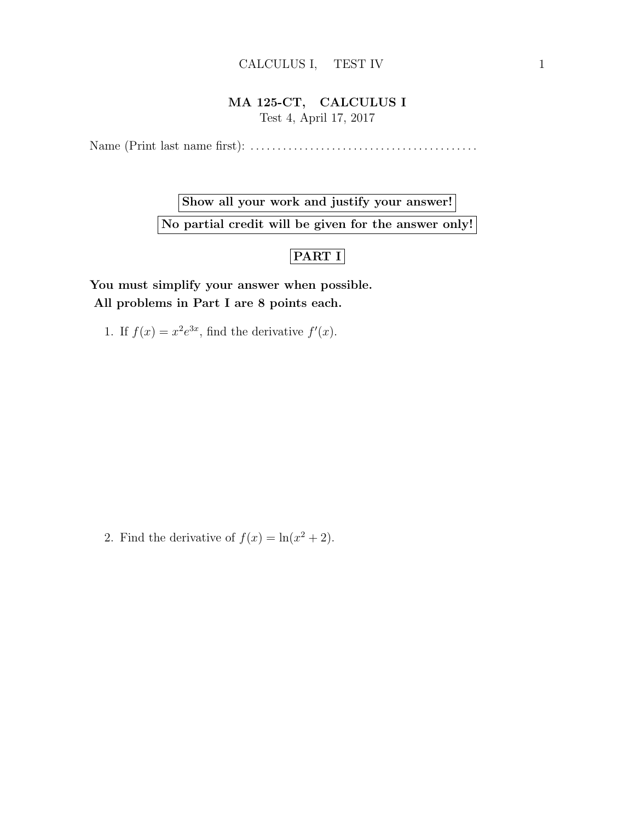## MA 125-CT, CALCULUS I Test 4, April 17, 2017

Name (Print last name first): . . . . . . . . . . . . . . . . . . . . . . . . . . . . . . . . . . . . . . . . . .

Show all your work and justify your answer! No partial credit will be given for the answer only!

## PART I

You must simplify your answer when possible. All problems in Part I are 8 points each.

1. If  $f(x) = x^2 e^{3x}$ , find the derivative  $f'(x)$ .

2. Find the derivative of  $f(x) = \ln(x^2 + 2)$ .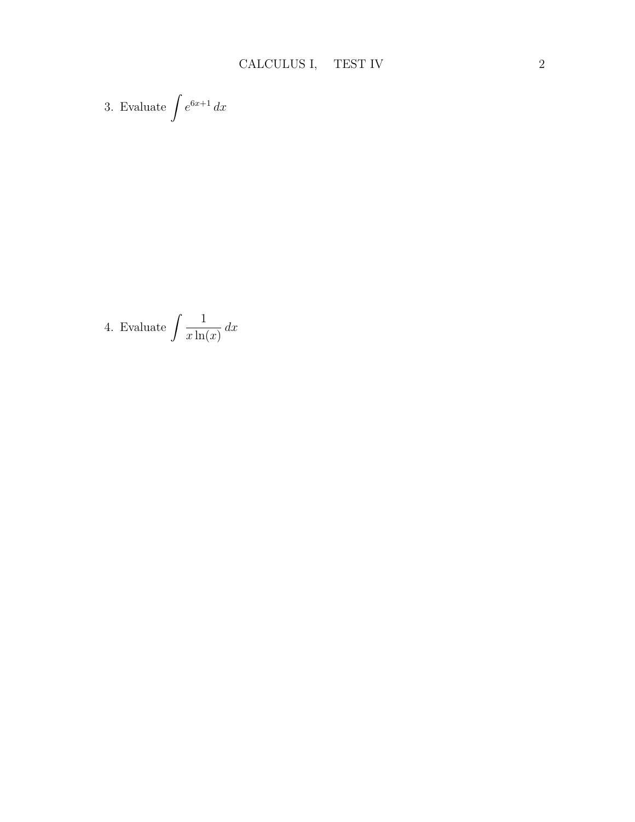3. Evaluate 
$$
\int e^{6x+1} dx
$$

4. Evaluate 
$$
\int \frac{1}{x \ln(x)} dx
$$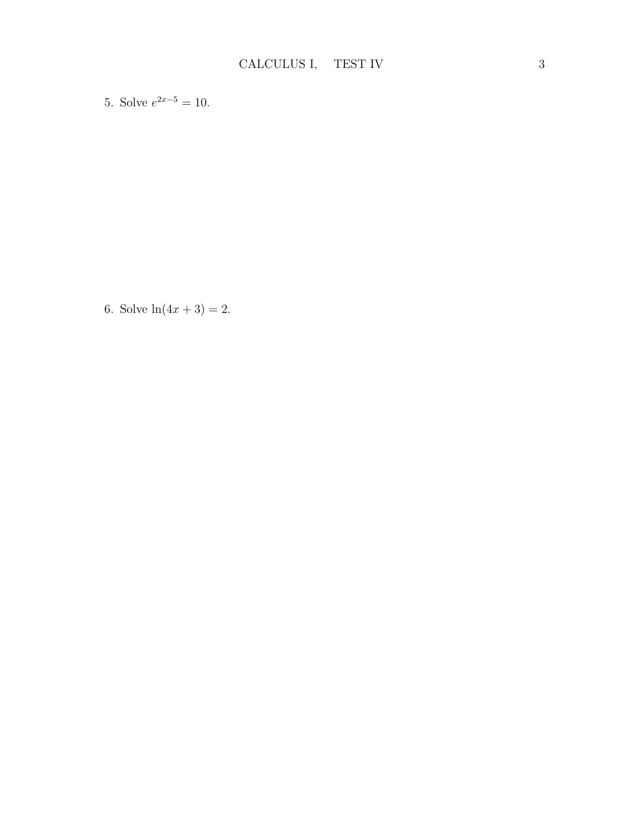5. Solve  $e^{2x-5} = 10$ .

6. Solve  $ln(4x + 3) = 2$ .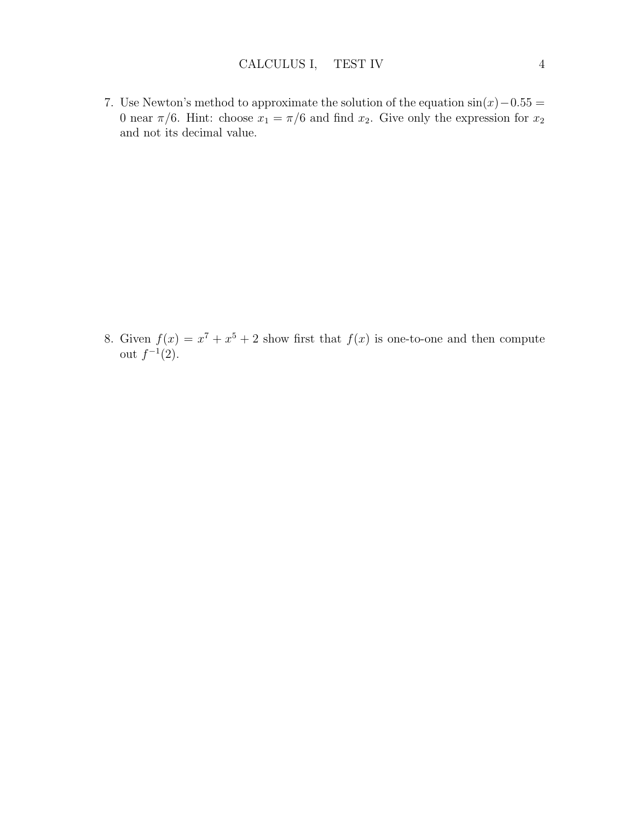7. Use Newton's method to approximate the solution of the equation  $sin(x) - 0.55 =$ 0 near  $\pi/6$ . Hint: choose  $x_1 = \pi/6$  and find  $x_2$ . Give only the expression for  $x_2$ and not its decimal value.

8. Given  $f(x) = x^7 + x^5 + 2$  show first that  $f(x)$  is one-to-one and then compute out  $f^{-1}(2)$ .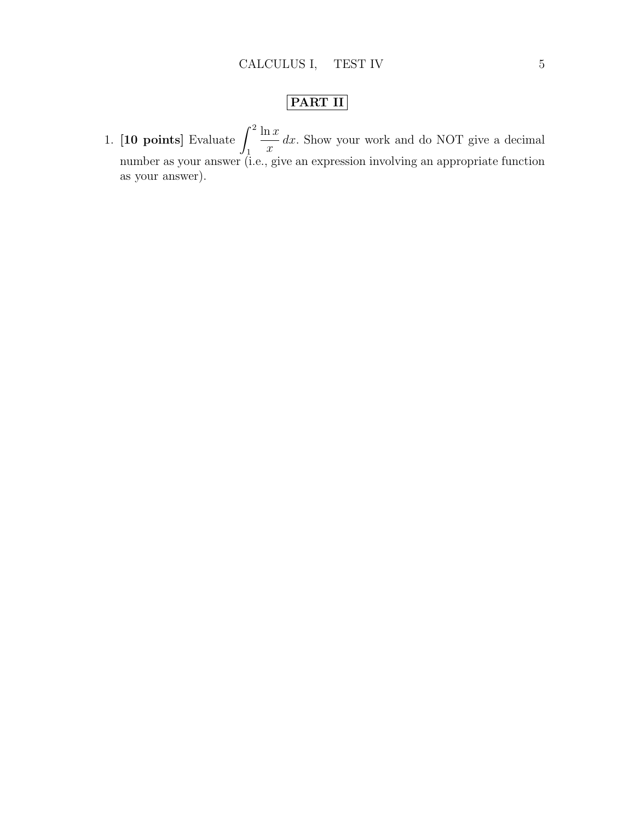## PART II

1. [10 points] Evaluate  $\int_0^2$ 1  $ln x$  $\boldsymbol{x}$ dx. Show your work and do NOT give a decimal number as your answer (i.e., give an expression involving an appropriate function as your answer).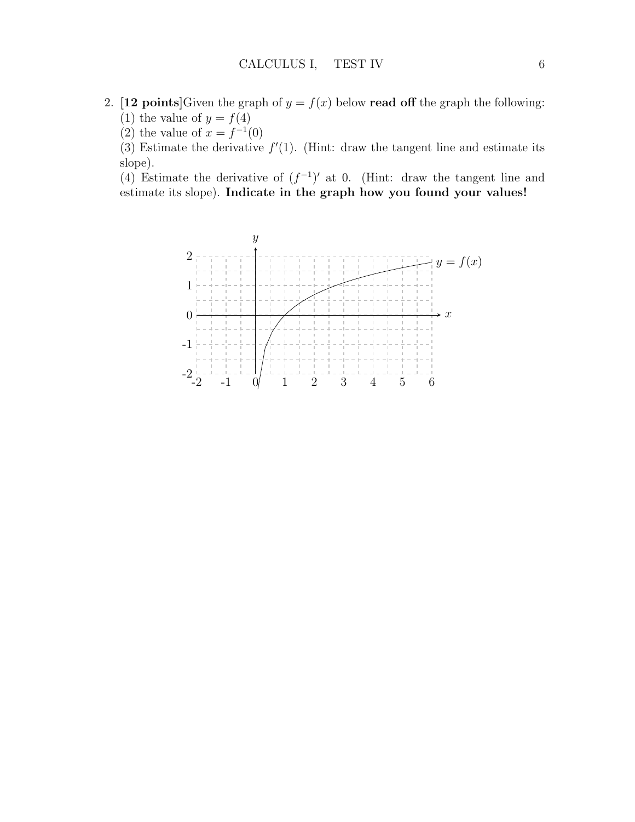- 2. [12 points]Given the graph of  $y = f(x)$  below read off the graph the following: (1) the value of  $y = f(4)$ 
	- (2) the value of  $x = f^{-1}(0)$

(3) Estimate the derivative  $f'(1)$ . (Hint: draw the tangent line and estimate its slope).

(4) Estimate the derivative of  $(f^{-1})'$  at 0. (Hint: draw the tangent line and estimate its slope). Indicate in the graph how you found your values!

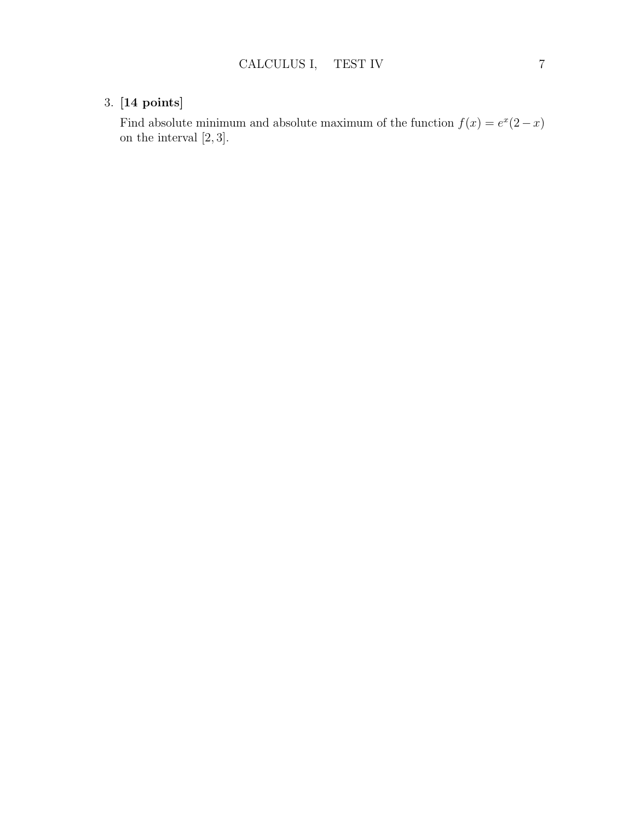## 3. [14 points]

Find absolute minimum and absolute maximum of the function  $f(x) = e^x(2-x)$ on the interval [2, 3].